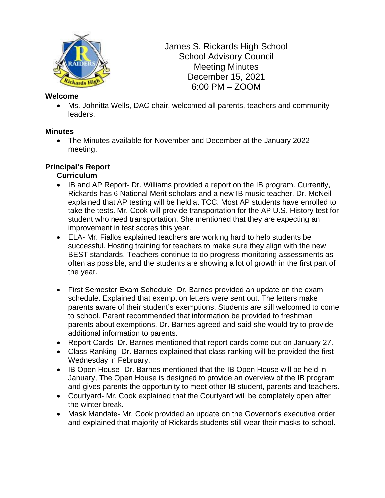

James S. Rickards High School School Advisory Council Meeting Minutes December 15, 2021 6:00 PM – ZOOM

#### **Welcome**

• Ms. Johnitta Wells, DAC chair, welcomed all parents, teachers and community leaders.

### **Minutes**

• The Minutes available for November and December at the January 2022 meeting.

### **Principal's Report**

### **Curriculum**

- IB and AP Report- Dr. Williams provided a report on the IB program. Currently, Rickards has 6 National Merit scholars and a new IB music teacher. Dr. McNeil explained that AP testing will be held at TCC. Most AP students have enrolled to take the tests. Mr. Cook will provide transportation for the AP U.S. History test for student who need transportation. She mentioned that they are expecting an improvement in test scores this year.
- ELA- Mr. Fiallos explained teachers are working hard to help students be successful. Hosting training for teachers to make sure they align with the new BEST standards. Teachers continue to do progress monitoring assessments as often as possible, and the students are showing a lot of growth in the first part of the year.
- First Semester Exam Schedule- Dr. Barnes provided an update on the exam schedule. Explained that exemption letters were sent out. The letters make parents aware of their student's exemptions. Students are still welcomed to come to school. Parent recommended that information be provided to freshman parents about exemptions. Dr. Barnes agreed and said she would try to provide additional information to parents.
- Report Cards- Dr. Barnes mentioned that report cards come out on January 27.
- Class Ranking- Dr. Barnes explained that class ranking will be provided the first Wednesday in February.
- IB Open House- Dr. Barnes mentioned that the IB Open House will be held in January, The Open House is designed to provide an overview of the IB program and gives parents the opportunity to meet other IB student, parents and teachers.
- Courtyard- Mr. Cook explained that the Courtyard will be completely open after the winter break.
- Mask Mandate- Mr. Cook provided an update on the Governor's executive order and explained that majority of Rickards students still wear their masks to school.